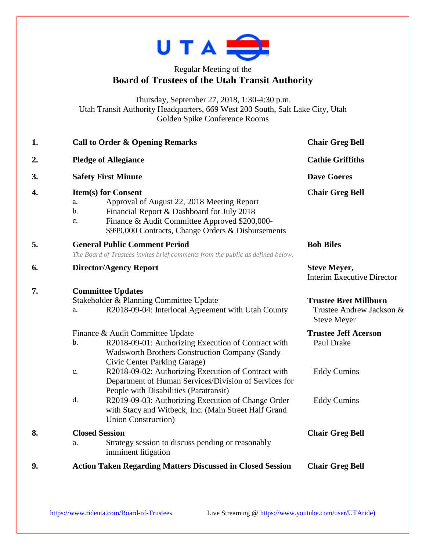

## Regular Meeting of the **Board of Trustees of the Utah Transit Authority**

Thursday, September 27, 2018, 1:30-4:30 p.m. Utah Transit Authority Headquarters, 669 West 200 South, Salt Lake City, Utah Golden Spike Conference Rooms

| 1. | <b>Call to Order &amp; Opening Remarks</b>                                                                                                                                                                                                      | <b>Chair Greg Bell</b>                                                         |
|----|-------------------------------------------------------------------------------------------------------------------------------------------------------------------------------------------------------------------------------------------------|--------------------------------------------------------------------------------|
| 2. | <b>Pledge of Allegiance</b>                                                                                                                                                                                                                     | <b>Cathie Griffiths</b>                                                        |
| 3. | <b>Safety First Minute</b>                                                                                                                                                                                                                      | <b>Dave Goeres</b>                                                             |
| 4. | <b>Item(s) for Consent</b><br>Approval of August 22, 2018 Meeting Report<br>a.<br>Financial Report & Dashboard for July 2018<br>b.<br>Finance & Audit Committee Approved \$200,000-<br>c.<br>\$999,000 Contracts, Change Orders & Disbursements | <b>Chair Greg Bell</b>                                                         |
| 5. | <b>General Public Comment Period</b><br>The Board of Trustees invites brief comments from the public as defined below.                                                                                                                          | <b>Bob Biles</b>                                                               |
| 6. | <b>Director/Agency Report</b>                                                                                                                                                                                                                   | <b>Steve Meyer,</b><br><b>Interim Executive Director</b>                       |
| 7. | <b>Committee Updates</b><br>Stakeholder & Planning Committee Update<br>R2018-09-04: Interlocal Agreement with Utah County<br>a.                                                                                                                 | <b>Trustee Bret Millburn</b><br>Trustee Andrew Jackson &<br><b>Steve Meyer</b> |
|    | Finance & Audit Committee Update<br>b.<br>R2018-09-01: Authorizing Execution of Contract with<br><b>Wadsworth Brothers Construction Company (Sandy</b><br>Civic Center Parking Garage)                                                          | <b>Trustee Jeff Acerson</b><br>Paul Drake                                      |
|    | R2018-09-02: Authorizing Execution of Contract with<br>c.<br>Department of Human Services/Division of Services for<br>People with Disabilities (Paratransit)                                                                                    | <b>Eddy Cumins</b>                                                             |
|    | d.<br>R2019-09-03: Authorizing Execution of Change Order<br>with Stacy and Witbeck, Inc. (Main Street Half Grand<br><b>Union Construction</b> )                                                                                                 | <b>Eddy Cumins</b>                                                             |
| 8. | <b>Closed Session</b><br>Strategy session to discuss pending or reasonably<br>a.<br>imminent litigation                                                                                                                                         | <b>Chair Greg Bell</b>                                                         |
| 9. | <b>Action Taken Regarding Matters Discussed in Closed Session</b>                                                                                                                                                                               | <b>Chair Greg Bell</b>                                                         |